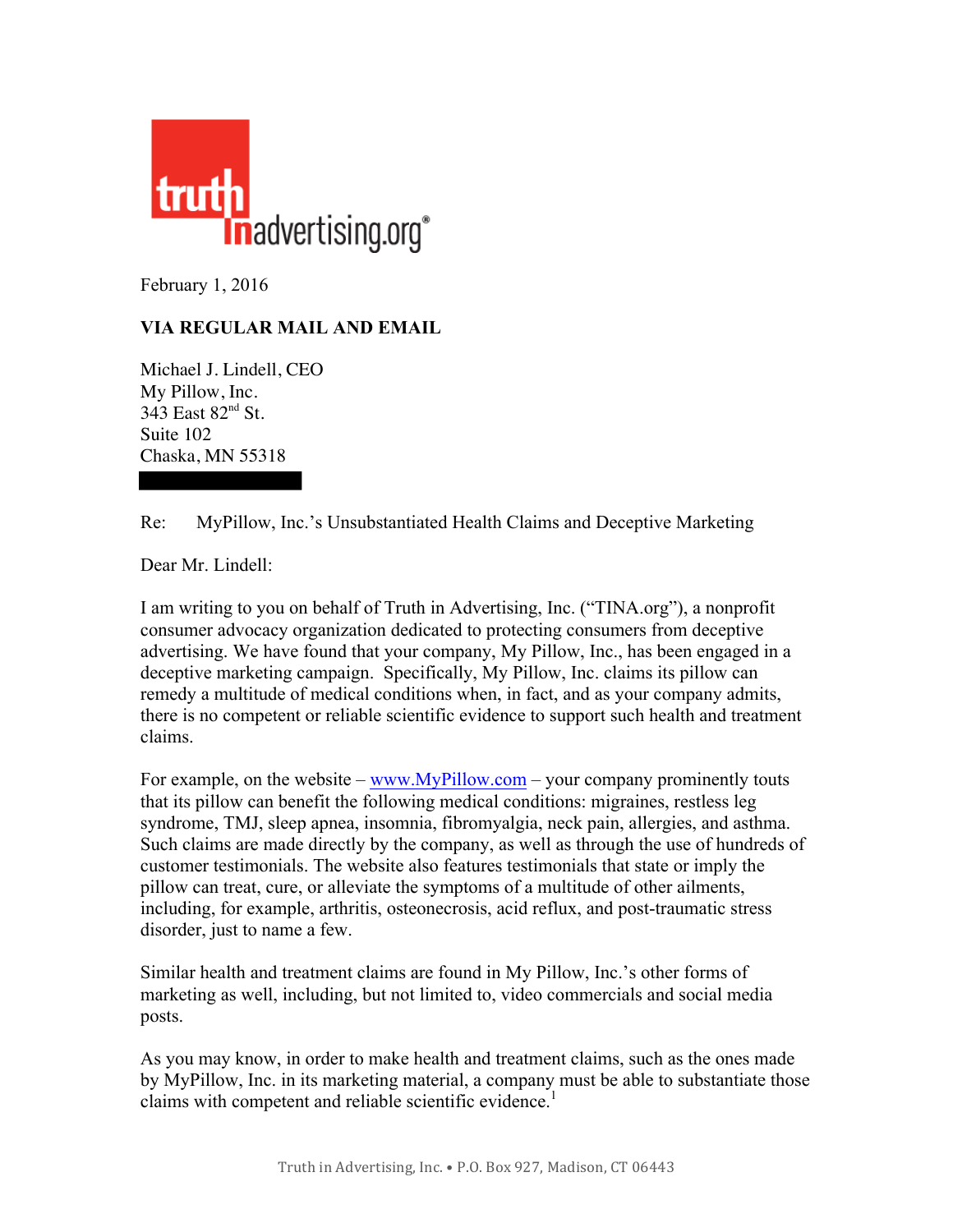

February 1, 2016

## **VIA REGULAR MAIL AND EMAIL**

Michael J. Lindell, CEO My Pillow, Inc. 343 East 82<sup>nd</sup> St. Suite 102 Chaska, MN 55318

Re: MyPillow, Inc.'s Unsubstantiated Health Claims and Deceptive Marketing

Dear Mr. Lindell:

I am writing to you on behalf of Truth in Advertising, Inc. ("TINA.org"), a nonprofit consumer advocacy organization dedicated to protecting consumers from deceptive advertising. We have found that your company, My Pillow, Inc., has been engaged in a deceptive marketing campaign. Specifically, My Pillow, Inc. claims its pillow can remedy a multitude of medical conditions when, in fact, and as your company admits, there is no competent or reliable scientific evidence to support such health and treatment claims.

For example, on the website –  $\frac{www.MyPillow.com}$  – your company prominently touts that its pillow can benefit the following medical conditions: migraines, restless leg syndrome, TMJ, sleep apnea, insomnia, fibromyalgia, neck pain, allergies, and asthma. Such claims are made directly by the company, as well as through the use of hundreds of customer testimonials. The website also features testimonials that state or imply the pillow can treat, cure, or alleviate the symptoms of a multitude of other ailments, including, for example, arthritis, osteonecrosis, acid reflux, and post-traumatic stress disorder, just to name a few.

Similar health and treatment claims are found in My Pillow, Inc.'s other forms of marketing as well, including, but not limited to, video commercials and social media posts.

As you may know, in order to make health and treatment claims, such as the ones made by MyPillow, Inc. in its marketing material, a company must be able to substantiate those claims with competent and reliable scientific evidence.<sup>1</sup>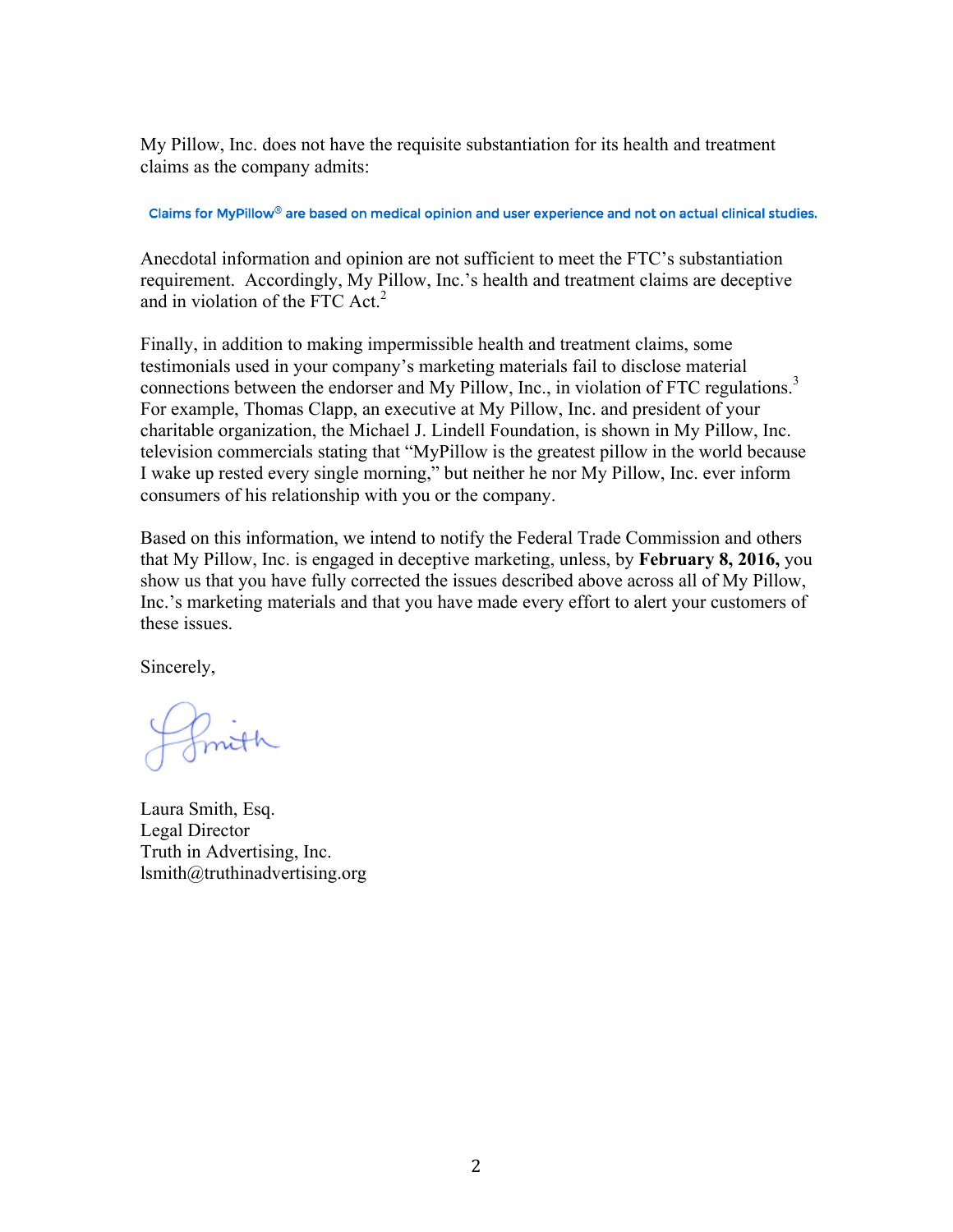My Pillow, Inc. does not have the requisite substantiation for its health and treatment claims as the company admits:

Claims for MyPillow® are based on medical opinion and user experience and not on actual clinical studies.

Anecdotal information and opinion are not sufficient to meet the FTC's substantiation requirement. Accordingly, My Pillow, Inc.'s health and treatment claims are deceptive and in violation of the FTC Act. 2

Finally, in addition to making impermissible health and treatment claims, some testimonials used in your company's marketing materials fail to disclose material connections between the endorser and My Pillow, Inc., in violation of FTC regulations. 3 For example, Thomas Clapp, an executive at My Pillow, Inc. and president of your charitable organization, the Michael J. Lindell Foundation, is shown in My Pillow, Inc. television commercials stating that "MyPillow is the greatest pillow in the world because I wake up rested every single morning," but neither he nor My Pillow, Inc. ever inform consumers of his relationship with you or the company.

Based on this information, we intend to notify the Federal Trade Commission and others that My Pillow, Inc. is engaged in deceptive marketing, unless, by **February 8, 2016,** you show us that you have fully corrected the issues described above across all of My Pillow, Inc.'s marketing materials and that you have made every effort to alert your customers of these issues.

Sincerely,

Laura Smith, Esq. Legal Director Truth in Advertising, Inc. lsmith@truthinadvertising.org